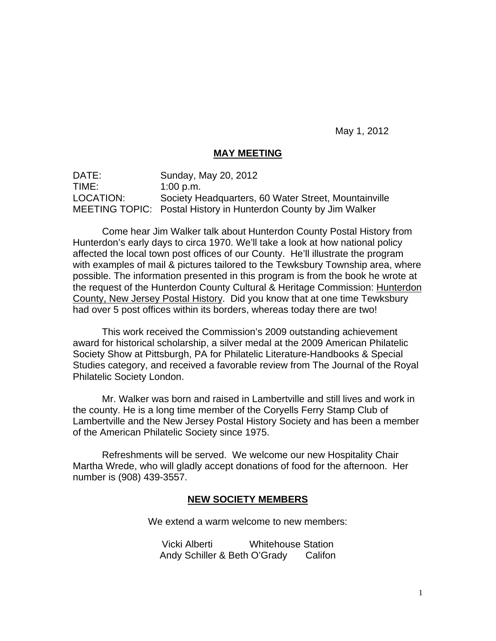May 1, 2012

#### **MAY MEETING**

DATE: Sunday, May 20, 2012 TIME: 1:00 p.m. LOCATION: Society Headquarters, 60 Water Street, Mountainville MEETING TOPIC: Postal History in Hunterdon County by Jim Walker

 Come hear Jim Walker talk about Hunterdon County Postal History from Hunterdon's early days to circa 1970. We'll take a look at how national policy affected the local town post offices of our County. He'll illustrate the program with examples of mail & pictures tailored to the Tewksbury Township area, where possible. The information presented in this program is from the book he wrote at the request of the Hunterdon County Cultural & Heritage Commission: Hunterdon County, New Jersey Postal History. Did you know that at one time Tewksbury had over 5 post offices within its borders, whereas today there are two!

This work received the Commission's 2009 outstanding achievement award for historical scholarship, a silver medal at the 2009 American Philatelic Society Show at Pittsburgh, PA for Philatelic Literature-Handbooks & Special Studies category, and received a favorable review from The Journal of the Royal Philatelic Society London.

Mr. Walker was born and raised in Lambertville and still lives and work in the county. He is a long time member of the Coryells Ferry Stamp Club of Lambertville and the New Jersey Postal History Society and has been a member of the American Philatelic Society since 1975.

Refreshments will be served. We welcome our new Hospitality Chair Martha Wrede, who will gladly accept donations of food for the afternoon. Her number is (908) 439-3557.

#### **NEW SOCIETY MEMBERS**

We extend a warm welcome to new members:

Vicki Alberti Whitehouse Station Andy Schiller & Beth O'Grady Califon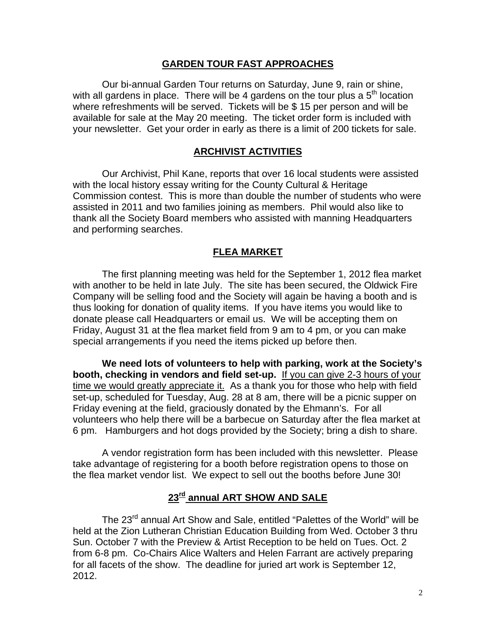#### **GARDEN TOUR FAST APPROACHES**

Our bi-annual Garden Tour returns on Saturday, June 9, rain or shine, with all gardens in place. There will be 4 gardens on the tour plus a  $5<sup>th</sup>$  location where refreshments will be served. Tickets will be \$ 15 per person and will be available for sale at the May 20 meeting. The ticket order form is included with your newsletter. Get your order in early as there is a limit of 200 tickets for sale.

#### **ARCHIVIST ACTIVITIES**

Our Archivist, Phil Kane, reports that over 16 local students were assisted with the local history essay writing for the County Cultural & Heritage Commission contest. This is more than double the number of students who were assisted in 2011 and two families joining as members. Phil would also like to thank all the Society Board members who assisted with manning Headquarters and performing searches.

#### **FLEA MARKET**

The first planning meeting was held for the September 1, 2012 flea market with another to be held in late July. The site has been secured, the Oldwick Fire Company will be selling food and the Society will again be having a booth and is thus looking for donation of quality items. If you have items you would like to donate please call Headquarters or email us. We will be accepting them on Friday, August 31 at the flea market field from 9 am to 4 pm, or you can make special arrangements if you need the items picked up before then.

**We need lots of volunteers to help with parking, work at the Society's booth, checking in vendors and field set-up.** If you can give 2-3 hours of your time we would greatly appreciate it. As a thank you for those who help with field set-up, scheduled for Tuesday, Aug. 28 at 8 am, there will be a picnic supper on Friday evening at the field, graciously donated by the Ehmann's. For all volunteers who help there will be a barbecue on Saturday after the flea market at 6 pm. Hamburgers and hot dogs provided by the Society; bring a dish to share.

A vendor registration form has been included with this newsletter. Please take advantage of registering for a booth before registration opens to those on the flea market vendor list. We expect to sell out the booths before June 30!

## **23rd annual ART SHOW AND SALE**

The 23<sup>rd</sup> annual Art Show and Sale, entitled "Palettes of the World" will be held at the Zion Lutheran Christian Education Building from Wed. October 3 thru Sun. October 7 with the Preview & Artist Reception to be held on Tues. Oct. 2 from 6-8 pm. Co-Chairs Alice Walters and Helen Farrant are actively preparing for all facets of the show. The deadline for juried art work is September 12, 2012.